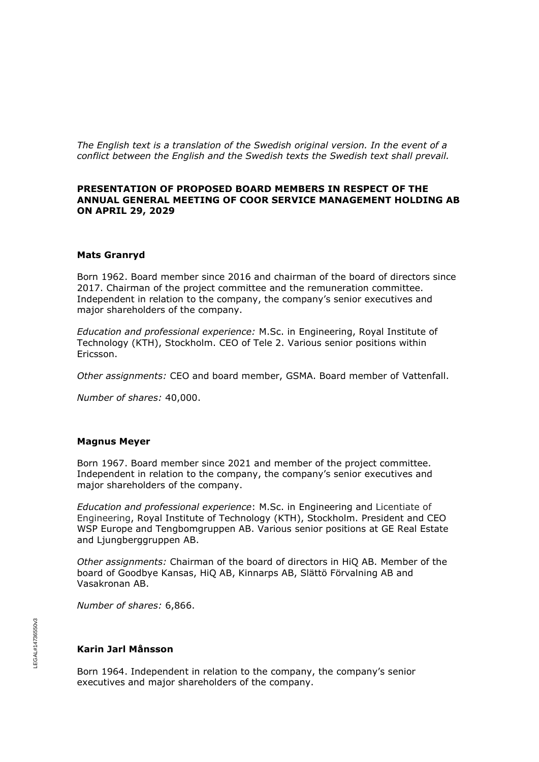*The English text is a translation of the Swedish original version. In the event of a conflict between the English and the Swedish texts the Swedish text shall prevail.*

## **PRESENTATION OF PROPOSED BOARD MEMBERS IN RESPECT OF THE ANNUAL GENERAL MEETING OF COOR SERVICE MANAGEMENT HOLDING AB ON APRIL 29, 2029**

### **Mats Granryd**

Born 1962. Board member since 2016 and chairman of the board of directors since 2017. Chairman of the project committee and the remuneration committee. Independent in relation to the company, the company's senior executives and major shareholders of the company.

*Education and professional experience:* M.Sc. in Engineering, Royal Institute of Technology (KTH), Stockholm. CEO of Tele 2. Various senior positions within Ericsson.

*Other assignments:* CEO and board member, GSMA. Board member of Vattenfall.

*Number of shares:* 40,000.

#### **Magnus Meyer**

Born 1967. Board member since 2021 and member of the project committee. Independent in relation to the company, the company's senior executives and major shareholders of the company.

*Education and professional experience*: M.Sc. in Engineering and Licentiate of Engineering, Royal Institute of Technology (KTH), Stockholm. President and CEO WSP Europe and Tengbomgruppen AB. Various senior positions at GE Real Estate and Ljungberggruppen AB.

*Other assignments:* Chairman of the board of directors in HiQ AB. Member of the board of Goodbye Kansas, HiQ AB, Kinnarps AB, Slättö Förvalning AB and Vasakronan AB.

*Number of shares:* 6,866.

# **Karin Jarl Månsson**

Born 1964. Independent in relation to the company, the company's senior executives and major shareholders of the company.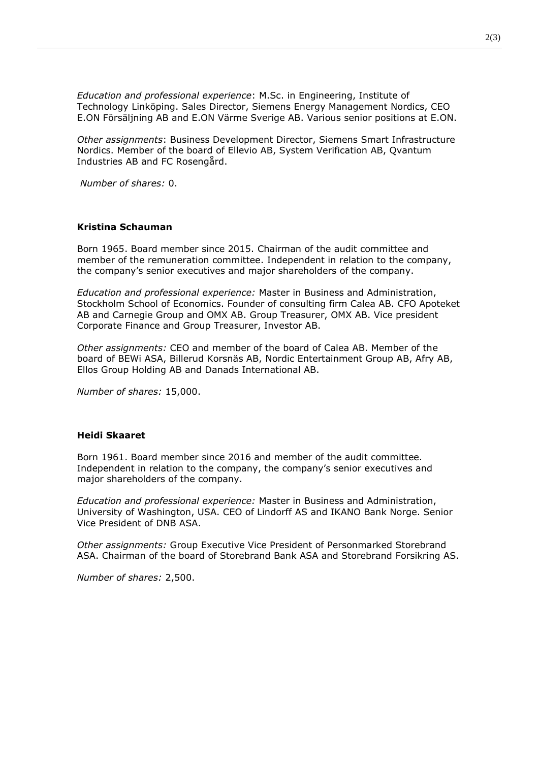*Education and professional experience*: M.Sc. in Engineering, Institute of Technology Linköping. Sales Director, Siemens Energy Management Nordics, CEO E.ON Försäljning AB and E.ON Värme Sverige AB. Various senior positions at E.ON.

*Other assignments*: Business Development Director, Siemens Smart Infrastructure Nordics. Member of the board of Ellevio AB, System Verification AB, Qvantum Industries AB and FC Rosengård.

*Number of shares:* 0.

### **Kristina Schauman**

Born 1965. Board member since 2015. Chairman of the audit committee and member of the remuneration committee. Independent in relation to the company, the company's senior executives and major shareholders of the company.

*Education and professional experience:* Master in Business and Administration, Stockholm School of Economics. Founder of consulting firm Calea AB. CFO Apoteket AB and Carnegie Group and OMX AB. Group Treasurer, OMX AB. Vice president Corporate Finance and Group Treasurer, Investor AB.

*Other assignments:* CEO and member of the board of Calea AB. Member of the board of BEWi ASA, Billerud Korsnäs AB, Nordic Entertainment Group AB, Afry AB, Ellos Group Holding AB and Danads International AB.

*Number of shares:* 15,000.

### **Heidi Skaaret**

Born 1961. Board member since 2016 and member of the audit committee. Independent in relation to the company, the company's senior executives and major shareholders of the company.

*Education and professional experience:* Master in Business and Administration, University of Washington, USA. CEO of Lindorff AS and IKANO Bank Norge. Senior Vice President of DNB ASA.

*Other assignments:* Group Executive Vice President of Personmarked Storebrand ASA. Chairman of the board of Storebrand Bank ASA and Storebrand Forsikring AS.

*Number of shares:* 2,500.